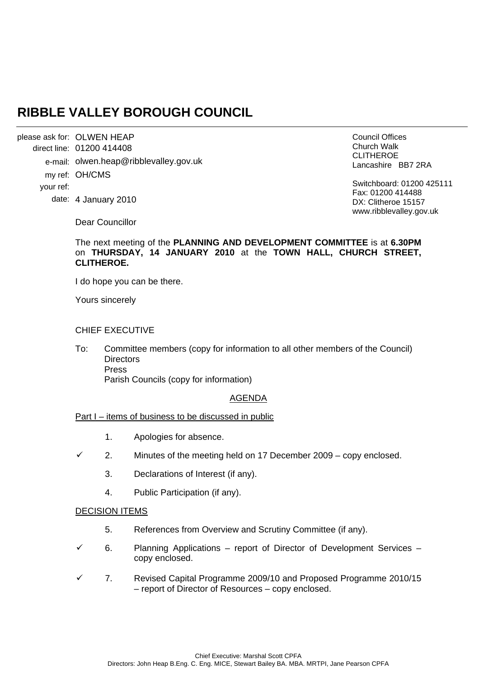# **RIBBLE VALLEY BOROUGH COUNCIL**

please ask for: OLWEN HEAP direct line: 01200 414408 e-mail: olwen.heap@ribblevalley.gov.uk my ref: OH/CMS your ref: date: 4 January 2010

Council Offices Church Walk CLITHEROE Lancashire BB7 2RA

Switchboard: 01200 425111 Fax: 01200 414488 DX: Clitheroe 15157 www.ribblevalley.gov.uk

Dear Councillor

# The next meeting of the **PLANNING AND DEVELOPMENT COMMITTEE** is at **6.30PM** on **THURSDAY, 14 JANUARY 2010** at the **TOWN HALL, CHURCH STREET, CLITHEROE.**

I do hope you can be there.

Yours sincerely

## CHIEF EXECUTIVE

To: Committee members (copy for information to all other members of the Council) **Directors**  Press Parish Councils (copy for information)

#### AGENDA

#### Part I – items of business to be discussed in public

- 1. Apologies for absence.
- $\checkmark$  2. Minutes of the meeting held on 17 December 2009 copy enclosed.
	- 3. Declarations of Interest (if any).
	- 4. Public Participation (if any).

# DECISION ITEMS

- 5. References from Overview and Scrutiny Committee (if any).
- $6.$  Planning Applications report of Director of Development Services copy enclosed.
- 9 7. Revised Capital Programme 2009/10 and Proposed Programme 2010/15 – report of Director of Resources – copy enclosed.